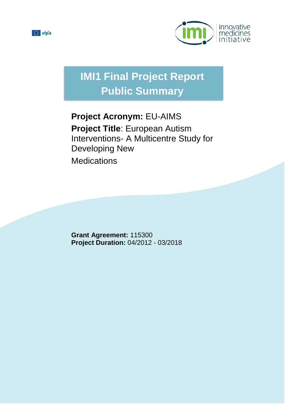



# **IMI1 Final Project Report Public Summary**

## **Project Acronym:** EU-AIMS **Project Title**: European Autism Interventions- A Multicentre Study for Developing New **Medications**

**Grant Agreement:** 115300 **Project Duration:** 04/2012 - 03/2018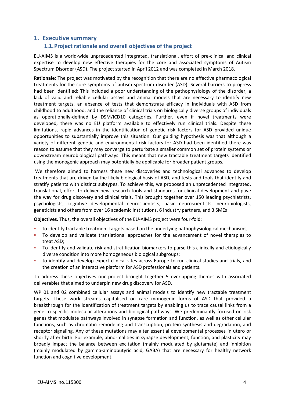## **1. Executive summary**

## **1.1.Project rationale and overall objectives of the project**

EU-AIMS is a world-wide unprecedented integrated, translational, effort of pre-clinical and clinical expertise to develop new effective therapies for the core and associated symptoms of Autism Spectrum Disorder (ASD). The project started in April 2012 and was completed in March 2018.

**Rationale:** The project was motivated by the recognition that there are no effective pharmacological treatments for the core symptoms of autism spectrum disorder (ASD). Several barriers to progress had been identified: This included a poor understanding of the pathophysiology of the disorder, a lack of valid and reliable cellular assays and animal models that are necessary to identify new treatment targets, an absence of tests that demonstrate efficacy in individuals with ASD from childhood to adulthood; and the reliance of clinical trials on biologically diverse groups of individuals as operationally-defined by DSM/ICD10 categories. Further, even if novel treatments were developed, there was no EU platform available to effectively run clinical trials. Despite these limitations, rapid advances in the identification of genetic risk factors for ASD provided unique opportunities to substantially improve this situation. Our guiding hypothesis was that although a variety of different genetic and environmental risk factors for ASD had been identified there was reason to assume that they may converge to perturbate a smaller common set of protein systems or downstream neurobiological pathways. This meant that new tractable treatment targets identified using the monogenic approach may potentially be applicable for broader patient groups.

We therefore aimed to harness these new discoveries and technological advances to develop treatments that are driven by the likely biological basis of ASD, and tests and tools that identify and stratify patients with distinct subtypes. To achieve this, we proposed an unprecedented integrated, translational, effort to deliver new research tools and standards for clinical development and pave the way for drug discovery and clinical trials. This brought together over 150 leading psychiatrists, psychologists, cognitive developmental neuroscientists, basic neuroscientists, neurobiologists, geneticists and others from over 16 academic institutions, 6 industry partners, and 3 SMEs

**Objectives.** Thus, the overall objectives of the EU-AIMS project were four-fold:

- to identify tractable treatment targets based on the underlying pathophysiological mechanisms,
- To develop and validate translational approaches for the advancement of novel therapies to treat ASD;
- To identify and validate risk and stratification biomarkers to parse this clinically and etiologically diverse condition into more homogeneous biological subgroups;
- to identify and develop expert clinical sites across Europe to run clinical studies and trials, and the creation of an interactive platform for ASD professionals and patients.

To address these objectives our project brought together 5 overlapping themes with associated deliverables that aimed to underpin new drug discovery for ASD.

WP 01 and 02 combined cellular assays and animal models to identify new tractable treatment targets. These work streams capitalised on rare monogenic forms of ASD that provided a breakthrough for the identification of treatment targets by enabling us to trace causal links from a gene to specific molecular alterations and biological pathways. We predominantly focused on risk genes that modulate pathways involved in synapse formation and function, as well as other cellular functions, such as chromatin remodeling and transcription, protein synthesis and degradation, and receptor signaling. Any of these mutations may alter essential developmental processes in utero or shortly after birth. For example, abnormalities in synapse development, function, and plasticity may broadly impact the balance between excitation (mainly modulated by glutamate) and inhibition (mainly modulated by gamma-aminobutyric acid, GABA) that are necessary for healthy network function and cognitive development.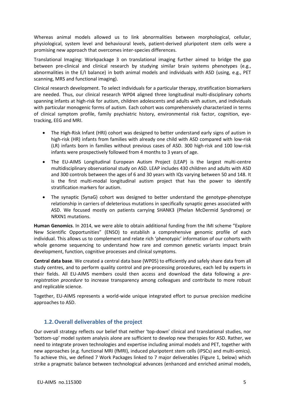Whereas animal models allowed us to link abnormalities between morphological, cellular, physiological, system level and behavioural levels, patient-derived pluripotent stem cells were a promising new approach that overcomes inter-species differences.

Translational Imaging: Workpackage 3 on translational imaging further aimed to bridge the gap between pre-clinical and clinical research by studying similar brain systems phenotypes (e.g., abnormalities in the E/I balance) in both animal models and individuals with ASD (using, e.g., PET scanning, MRS and functional imaging).

Clinical research development. To select individuals for a particular therapy, stratification biomarkers are needed. Thus, our clinical research WP04 aligned three longitudinal multi-disciplinary cohorts spanning infants at high-risk for autism, children adolescents and adults with autism, and individuals with particular monogenic forms of autism. Each cohort was comprehensively characterized in terms of clinical symptom profile, family psychiatric history, environmental risk factor, cognition, eyetracking, EEG and MRI.

- The High-Risk Infant (HRI) cohort was designed to better understand early signs of autism in high-risk (HR) infants from families with already one child with ASD compared with low-risk (LR) infants born in families without previous cases of ASD. 300 high-risk and 100 low-risk infants were prospectively followed from 4 months to 3 years of age.
- The EU-AIMS Longitudinal European Autism Project (LEAP) is the largest multi-centre multidisciplinary observational study on ASD. LEAP includes 430 children and adults with ASD and 300 controls between the ages of 6 and 30 years with IQs varying between 50 and 148. It is the first multi-modal longitudinal autism project that has the power to identify stratification markers for autism.
- The synaptic (SynaG) cohort was designed to better understand the genotype-phenotype relationship in carriers of deleterious mutations in specifically synaptic genes associated with ASD. We focused mostly on patients carrying SHANK3 (Phelan McDermid Syndrome) or NRXN1 mutations.

**Human Genomics**. In 2014, we were able to obtain additional funding from the IMI scheme "Explore New Scientific Opportunities" (ENSO) to establish a comprehensive genomic profile of each individual. This allows us to complement and relate rich 'phenotypic' information of our cohorts with whole genome sequencing to understand how rare and common genetic variants impact brain development, function, cognitive processes and clinical symptoms.

**Central data base**. We created a central data base (WP05) to efficiently and safely share data from all study centres, and to perform quality control and pre-processing procedures, each led by experts in their fields. All EU-AIMS members could then access and download the data following a *preregistration procedure* to increase transparency among colleagues and contribute to more robust and replicable science.

Together, EU-AIMS represents a world-wide unique integrated effort to pursue precision medicine approaches to ASD.

## **1.2.Overall deliverables of the project**

Our overall strategy reflects our belief that neither 'top-down' clinical and translational studies, nor 'bottom-up' model system analysis alone are sufficient to develop new therapies for ASD. Rather, we need to integrate proven technologies and expertise including animal models and PET, together with new approaches (e.g. functional MRI (fMRI), induced pluripotent stem cells (iPSCs) and multi-omics). To achieve this, we defined 7 Work Packages linked to 7 major deliverables (Figure 1, below) which strike a pragmatic balance between technological advances (enhanced and enriched animal models,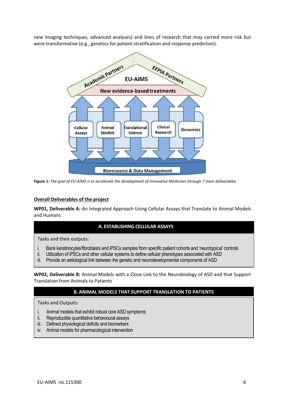new imaging techniques, advanced analyses) and lines of research that may carried more risk but were transformative (e.g., genetics for patient stratification and response prediction).



*Figure 1: The goal of EU-AIMS is to accelerate the development of Innovative Medicines through 7 main deliverables* 

#### **Overall Deliverables of the project**

**WP01, Deliverable A:** An Integrated Approach Using Cellular Assays that Translate to Animal Models and Humans

## **A. ESTABLISHING CELLULAR ASSAYS**

Tasks and their outputs:

- i. Bank keratinocytes/fibroblasts and iPSCs samples from specific patient cohorts and 'neurotypical' controls
- ii. Utilization of iPSCs and other cellular systems to define cellular phenotypes associated with ASD
- iii. Provide an aetiological link between the genetic and neurodevelopmental components of ASD

**WP02, Deliverable B:** Animal Models with a Close Link to the Neurobiology of ASD and that Support Translation from Animals to Patients

## **B. ANIMAL MODELS THAT SUPPORT TRANSLATION TO PATIENTS**

Tasks and Outputs:

- i. Animal models that exhibit robust core ASD symptoms
- ii. Reproducible quantitative behavioural assays
- iii. Defined physiological deficits and biomarkers
- iv. Animal models for pharmacological intervention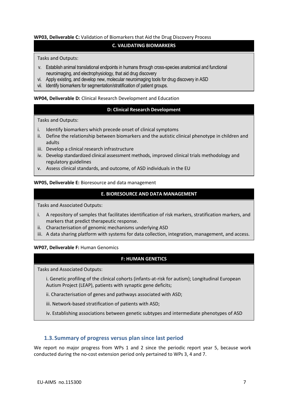#### **WP03, Deliverable C:** Validation of Biomarkers that Aid the Drug Discovery Process

#### **C. VALIDATING BIOMARKERS**

#### Tasks and Outputs:

- v. Establish animal translational endpoints in humans through cross-species anatomical and functional neuroimaging, and electrophysiology, that aid drug discovery
- vi. Apply existing, and develop new, molecular neuroimaging tools for drug discovery in ASD
- vii. Identify biomarkers for segmentation/stratification of patient groups.

#### **WP04, Deliverable D:** Clinical Research Development and Education

#### **D: Clinical Research Development**

Tasks and Outputs:

- i. Identify biomarkers which precede onset of clinical symptoms
- ii. Define the relationship between biomarkers and the autistic clinical phenotype in children and adults
- iii. Develop a clinical research infrastructure
- iv. Develop standardized clinical assessment methods, improved clinical trials methodology and regulatory guidelines
- v. Assess clinical standards, and outcome, of ASD individuals in the EU

#### **WP05, Deliverable E:** Bioresource and data management

#### **E. BIORESOURCE AND DATA MANAGEMENT**

Tasks and Associated Outputs:

- i. A repository of samples that facilitates identification of risk markers, stratification markers, and markers that predict therapeutic response.
- ii. Characterisation of genomic mechanisms underlying ASD
- iii. A data sharing platform with systems for data collection, integration, management, and access.

#### **WP07, Deliverable F:** Human Genomics

#### **F: HUMAN GENETICS**

Tasks and Associated Outputs:

- i. Genetic profiling of the clinical cohorts (infants-at-risk for autism); Longitudinal European Autism Project (LEAP), patients with synaptic gene deficits;
- ii. Characterisation of genes and pathways associated with ASD;
- iii. Network-based stratification of patients with ASD;
- iv. Establishing associations between genetic subtypes and intermediate phenotypes of ASD

## **1.3.Summary of progress versus plan since last period**

We report no major progress from WPs 1 and 2 since the periodic report year 5, because work conducted during the no-cost extension period only pertained to WPs 3, 4 and 7.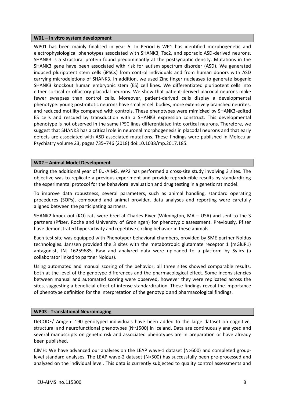#### **W01 – In vitro system development**

WP01 has been mainly finalised in year 5. In Period 6 WP1 has identified morphogenetic and electrophysiological phenotypes associated with SHANK3, Tsc2, and sporadic ASD-derived neurons. SHANK3 is a structural protein found predominantly at the postsynaptic density. Mutations in the SHANK3 gene have been associated with risk for autism spectrum disorder (ASD). We generated induced pluripotent stem cells (iPSCs) from control individuals and from human donors with ASD carrying microdeletions of SHANK3. In addition, we used Zinc finger nucleases to generate isogenic SHANK3 knockout human embryonic stem (ES) cell lines. We differentiated pluripotent cells into either cortical or olfactory placodal neurons. We show that patient-derived placodal neurons make fewer synapses than control cells. Moreover, patient-derived cells display a developmental phenotype: young postmitotic neurons have smaller cell bodies, more extensively branched neurites, and reduced motility compared with controls. These phenotypes were mimicked by SHANK3-edited ES cells and rescued by transduction with a SHANK3 expression construct. This developmental phenotype is not observed in the same iPSC lines differentiated into cortical neurons. Therefore, we suggest that SHANK3 has a critical role in neuronal morphogenesis in placodal neurons and that early defects are associated with ASD-associated mutations. These findings were published in Molecular Psychiatry volume 23, pages 735–746 (2018) doi:10.1038/mp.2017.185.

#### **W02 – Animal Model Development**

During the additional year of EU-AIMS, WP2 has performed a cross-site study involving 3 sites. The objective was to replicate a previous experiment and provide reproducible results by standardizing the experimental protocol for the behavioral evaluation and drug testing in a genetic rat model.

To improve data robustness, several parameters, such as animal handling, standard operating procedures (SOPs), compound and animal provider, data analyses and reporting were carefully aligned between the participating partners.

SHANK2 knock-out (KO) rats were bred at Charles River (Wilmington, MA – USA) and sent to the 3 partners (Pfizer, Roche and University of Groningen) for phenotypic assessment. Previously, Pfizer have demonstrated hyperactivity and repetitive circling behavior in these animals.

Each test site was equipped with Phenotyper behavioral chambers, provided by SME partner Noldus technologies. Janssen provided the 3 sites with the metabotrobic glutamate receptor 1 (mGluR1) antagonist, JNJ 16259685. Raw and analyzed data were uploaded to a platform by Sylics (a collaborator linked to partner Noldus).

Using automated and manual scoring of the behavior, all three sites showed comparable results, both at the level of the genotype differences and the pharmacological effect. Some inconsistencies between manual and automated scoring were observed, however they were replicated across the sites, suggesting a beneficial effect of intense standardization. These findings reveal the importance of phenotype definition for the interpretation of the genotypic and pharmacological findings.

#### **WP03 - Translational Neuroimaging**

DeCODE/ Amgen: 190 genotyped individuals have been added to the large dataset on cognitive, structural and neurofunctional phenotypes (N~1500) in Iceland. Data are continuously analyzed and several manuscripts on genetic risk and associated phenotypes are in preparation or have already been published.

CIMH: We have advanced our analyses on the LEAP wave-1 dataset (N>600) and completed grouplevel standard analyses. The LEAP wave-2 dataset (N>500) has successfully been pre-processed and analyzed on the individual level. This data is currently subjected to quality control assessments and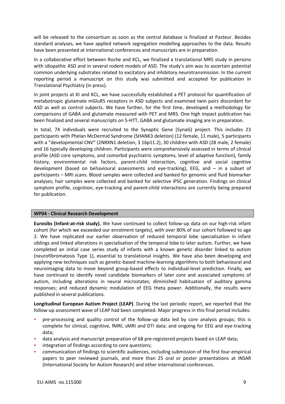will be released to the consortium as soon as the central database is finalized at Pasteur. Besides standard analyses, we have applied network segregation modelling approaches to the data. Results have been presented at international conferences and manuscripts are in preparation.

In a collaborative effort between Roche and KCL, we finalized a translational MRS study in persons with idiopathic ASD and in several rodent models of ASD. The study's aim was to ascertain potential common underlying substrates related to excitatory and inhibitory neurotransmission. In the current reporting period a manuscript on this study was submitted and accepted for publication in Translational Psychiatry (in press).

In joint projects at KI and KCL, we have successfully established a PET protocol for quantification of metabotropic glutamate mGluR5 receptors in ASD subjects and examined twin pairs discordant for ASD as well as control subjects. We have further, for the first time, developed a methodology for comparisons of GABA and glutamate measured with PET and MRS. One high impact publication has been finalized and several manuscripts on 5-HTT, GABA and glutamate imaging are in preparation.

In total, 74 individuals were recruited to the Synaptic Gene (SynaG) project. This includes 23 participants with Phelan McDermid Syndrome (SHANK3 deletion) (12 female, 11 male), 5 participants with a "developmental CNV" (2NRXN1 deletion, 3 16p11.2), 30 children with ASD (28 male, 2 female) and 16 typically developing children. Participants were comprehensively assessed in terms of clinical profile (ASD core symptoms, and comorbid psychiatric symptoms, level of adaptive function), family history, environmental risk factors, parent-child interaction, cognitive and social cognitive development (based on behavioural assessments and eye-tracking), EEG, and – in a subset of participants – MRI scans. Blood samples were collected and banked for genomic and fluid biomarker analyses; hair samples were collected and banked for selective iPSC generation. Findings on clinical symptom profile, cognition, eye-tracking and parent-child interactions are currently being prepared for publication.

#### **WP04 - Clinical Research Development**

**Eurosibs (Infant-at-risk study).** We have continued to collect follow-up data on our high-risk infant cohort (for which we exceeded our enrolment targets), with over 80% of our cohort followed to age 2. We have replicated our earlier observation of reduced temporal lobe specialisation in infant siblings and linked alterations in specialisation of the temporal lobe to later autism. Further, we have completed an initial case series study of infants with a known genetic disorder linked to autism (neurofibromatosis Type 1), essential to translational insights. We have also been developing and applying new techniques such as genetic-based machine-learning algorithms to both behavioural and neuroimaging data to move beyond group-based effects to individual-level prediction. Finally, we have continued to identify novel candidate biomarkers of later core and associated symptoms of autism, including alterations in neural microstates; diminished habituation of auditory gamma responses; and reduced dynamic modulation of EEG theta power. Additionally, the results were published in several publications.

Longitudinal European Autism Project (LEAP). During the last periodic report, we reported that the follow-up assessment wave of LEAP had been completed. Major progress in this final period includes:

- pre-processing and quality control of the follow-up data led by core analysis groups; this is complete for clinical, cognitive, fMRI, sMRI and DTI data; and ongoing for EEG and eye-tracking data;
- data analysis and manuscript preparation of 68 pre-registered projects based on LEAP data;
- integration of findings according to core questions;
- communication of findings to scientific audiences, including submission of the first four empirical papers to peer reviewed journals, and more than 25 oral or poster presentations at INSAR (International Society for Autism Research) and other international conferences.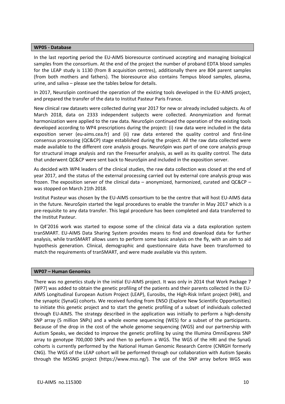#### **WP05 - Database**

In the last reporting period the EU-AIMS bioresource continued accepting and managing biological samples from the consortium. At the end of the project the number of proband EDTA blood samples for the LEAP study is 1130 (from 8 acquisition centres), additionally there are 804 parent samples (from both mothers and fathers). The bioresource also contains Tempus blood samples, plasma, urine, and saliva – please see the tables below for details.

In 2017, NeuroSpin continued the operation of the existing tools developed in the EU-AIMS project, and prepared the transfer of the data to Institut Pasteur Paris France.

New clinical raw datasets were collected during year 2017 for new or already included subjects. As of March 2018, data on 2333 independent subjects were collected. Anonymization and format harmonization were applied to the raw data. NeuroSpin continued the operation of the existing tools developed according to WP4 prescriptions during the project: (i) raw data were included in the data exposition server (eu-aims.cea.fr) and (ii) raw data entered the quality control and first-line consensus processing (QC&CP) stage established during the project. All the raw data collected were made available to the different core analysis groups. NeuroSpin was part of one core analysis group for structural image analysis and ran the Freesurfer analysis, as well as its quality control. The data that underwent QC&CP were sent back to NeuroSpin and included in the exposition server.

As decided with WP4 leaders of the clinical studies, the raw data collection was closed at the end of year 2017, and the status of the external processing carried out by external core analysis group was frozen. The exposition server of the clinical data – anonymized, harmonized, curated and QC&CP – was stopped on March 21th 2018.

Institut Pasteur was chosen by the EU-AIMS consortium to be the centre that will host EU-AIMS data in the future. NeuroSpin started the legal procedures to enable the transfer in May 2017 which is a pre-requisite to any data transfer. This legal procedure has been completed and data transferred to the Institut Pasteur.

In Q4'2016 work was started to expose some of the clinical data via a data exploration system tranSMART. EU-AIMS Data Sharing System provides means to find and download data for further analysis, while tranSMART allows users to perform some basic analysis on the fly, with an aim to aid hypothesis generation. Clinical, demographic and questionnaire data have been transformed to match the requirements of tranSMART, and were made available via this system.

#### **WP07 – Human Genomics**

There was no genetics study in the initial EU-AIMS project. It was only in 2014 that Work Package 7 (WP7) was added to obtain the genetic profiling of the patients and their parents collected in the EU-AIMS Longitudinal European Autism Project (LEAP), Eurosibs, the High-Risk Infant project (HRI), and the synaptic (SynaG) cohorts. We received funding from ENSO (Explore New Scientific Opportunities) to initiate this genetic project and to start the genetic profiling of a subset of individuals collected through EU-AIMS. The strategy described in the application was initially to perform a high-density SNP array (5 million SNPs) and a whole exome sequencing (WES) for a subset of the participants. Because of the drop in the cost of the whole genome sequencing (WGS) and our partnership with Autism Speaks, we decided to improve the genetic profiling by using the Illumina OmniExpress SNP array to genotype 700,000 SNPs and then to perform a WGS. The WGS of the HRI and the SynaG cohorts is currently performed by the National Human Genomic Research Centre (CNRGH formerly CNG). The WGS of the LEAP cohort will be performed through our collaboration with Autism Speaks through the MSSNG project (https://www.mss.ng/). The use of the SNP array before WGS was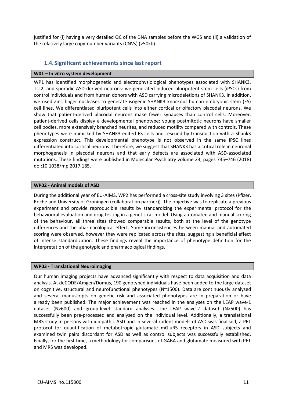justified for (i) having a very detailed QC of the DNA samples before the WGS and (ii) a validation of the relatively large copy-number variants (CNVs) (>50kb).

## **1.4.Significant achievements since last report**

#### **W01 – In vitro system development**

WP1 has identified morphogenetic and electrophysiological phenotypes associated with SHANK3, Tsc2, and sporadic ASD-derived neurons: we generated induced pluripotent stem cells (iPSCs) from control individuals and from human donors with ASD carrying microdeletions of SHANK3. In addition, we used Zinc finger nucleases to generate isogenic SHANK3 knockout human embryonic stem (ES) cell lines. We differentiated pluripotent cells into either cortical or olfactory placodal neurons. We show that patient-derived placodal neurons make fewer synapses than control cells. Moreover, patient-derived cells display a developmental phenotype: young postmitotic neurons have smaller cell bodies, more extensively branched neurites, and reduced motility compared with controls. These phenotypes were mimicked by SHANK3-edited ES cells and rescued by transduction with a Shank3 expression construct. This developmental phenotype is not observed in the same iPSC lines differentiated into cortical neurons. Therefore, we suggest that SHANK3 has a critical role in neuronal morphogenesis in placodal neurons and that early defects are associated with ASD-associated mutations. These findings were published in Molecular Psychiatry volume 23, pages 735–746 (2018) doi:10.1038/mp.2017.185.

#### **WP02 - Animal models of ASD**

During the additional year of EU-AIMS, WP2 has performed a cross-site study involving 3 sites (Pfizer, Roche and University of Groningen (collaboration partner)). The objective was to replicate a previous experiment and provide reproducible results by standardizing the experimental protocol for the behavioural evaluation and drug testing in a genetic rat model. Using automated and manual scoring of the behaviour, all three sites showed comparable results, both at the level of the genotype differences and the pharmacological effect. Some inconsistencies between manual and automated scoring were observed, however they were replicated across the sites, suggesting a beneficial effect of intense standardization. These findings reveal the importance of phenotype definition for the interpretation of the genotypic and pharmacological findings.

#### **WP03 - Translational Neuroimaging**

Our human imaging projects have advanced significantly with respect to data acquisition and data analysis. At deCODE/Amgen/Domus, 190 genotyped individuals have been added to the large dataset on cognitive, structural and neurofunctional phenotypes (N~1500). Data are continuously analysed and several manuscripts on genetic risk and associated phenotypes are in preparation or have already been published. The major achievement was reached in the analyses on the LEAP wave-1 dataset (N>600) and group-level standard analyses. The LEAP wave-2 dataset (N>500) has successfully been pre-processed and analysed on the individual level. Additionally, a translational MRS study in persons with idiopathic ASD and in several rodent models of ASD was finalised, a PET protocol for quantification of metabotropic glutamate mGluR5 receptors in ASD subjects and examined twin pairs discordant for ASD as well as control subjects was successfully established. Finally, for the first time, a methodology for comparisons of GABA and glutamate measured with PET and MRS was developed.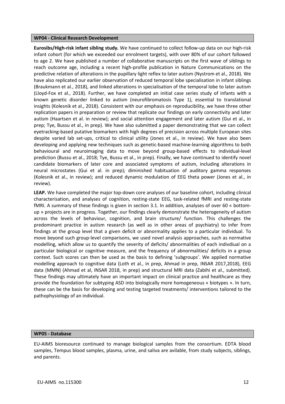#### **WP04 - Clinical Research Development**

**Eurosibs/High-risk infant sibling study.** We have continued to collect follow-up data on our high-risk infant cohort (for which we exceeded our enrolment targets), with over 80% of our cohort followed to age 2. We have published a number of collaborative manuscripts on the first wave of siblings to reach outcome age, including a recent high-profile publication in Nature Communications on the predictive relation of alterations in the pupillary light reflex to later autism (Nystrom et al., 2018). We have also replicated our earlier observation of reduced temporal lobe specialisation in infant siblings (Braukmann et al., 2018), and linked alterations in specialisation of the temporal lobe to later autism (Lloyd-Fox et al., 2018). Further, we have completed an initial case series study of infants with a known genetic disorder linked to autism (neurofibromatosis Type 1), essential to translational insights (Kolesnik et al., 2018). Consistent with our emphasis on reproducibility, we have three other replication papers in preparation or review that replicate our findings on early connectivity and later autism (Haartsen et al. in review); and social attention engagement and later autism (Gui et al., in prep; Tye, Bussu et al., in prep). We have also submitted a paper demonstrating that we can collect eyetracking-based putative biomarkers with high degrees of precision across multiple European sites despite varied lab set-ups, critical to clinical utility (Jones et al., in review). We have also been developing and applying new techniques such as genetic-based machine-learning algorithms to both behavioural and neuroimaging data to move beyond group-based effects to individual-level prediction (Bussu et al., 2018; Tye, Bussu et al., in prep). Finally, we have continued to identify novel candidate biomarkers of later core and associated symptoms of autism, including alterations in neural microstates (Gui et al. in prep); diminished habituation of auditory gamma responses (Kolesnik et al., in review); and reduced dynamic modulation of EEG theta power (Jones et al., in review).

**LEAP.** We have completed the major top-down core analyses of our baseline cohort, including clinical characterisation, and analyses of cognition, resting-state EEG, task-related fMRI and resting-state fMRI. A summary of these findings is given in section 3.1. In addition, analyses of over 60 « bottomup » projects are in progress. Together, our findings clearly demonstrate the heterogeneity of autism across the levels of behaviour, cognition, and brain structure/ function. This challenges the predominant practice in autism research (as well as in other areas of psychiatry) to infer from findings at the group level that a given deficit or abnormality applies to a particular individual. To move beyond such group-level comparisons, we used novel analysis approaches, such as normative modelling, which allow us to quantify the severity of deficits/ abnormalities of each indivdiual on a particular biological or cognitive measure, and the frequency of abnormalities/ deficits in a group context. Such scores can then be used as the basis to defining 'subgroups'. We applied normative modelling approach to cognitive data (Loth et al., in prep, Ahmad in prep, INSAR 2017,2018), EEG data (MMN) (Ahmad et al, INSAR 2018, in prep) and structural MRI data (Zabihi et al., submitted). These findings may ultimately have an important impact on clinical practice and healthcare as they provide the foundation for subtyping ASD into biologically more homogeneous « biotypes ». In turn, these can be the basis for developing and testing targeted treatments/ interventions tailored to the pathophysiology of an individual.

#### **WP05 - Database**

EU-AIMS bioresource continued to manage biological samples from the consortium. EDTA blood samples, Tempus blood samples, plasma, urine, and saliva are avilable, from study subjects, siblings, and parents.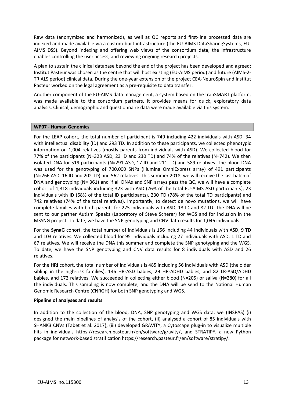Raw data (anonymized and harmonized), as well as QC reports and first-line processed data are indexed and made available via a custom-built infrastructure (the EU-AIMS DataSharingSystems, EU-AIMS DSS). Beyond indexing and offering web views of the consortium data, the infrastructure enables controlling the user access, and reviewing ongoing research projects.

A plan to sustain the clinical database beyond the end of the project has been developed and agreed: Institut Pasteur was chosen as the centre that will host existing (EU-AIMS period) and future (AIMS-2- TRIALS period) clinical data. During the one-year extension of the project CEA-NeuroSpin and Institut Pasteur worked on the legal agreement as a pre-requisite to data transfer.

Another component of the EU-AIMS data management, a system based on the tranSMART platform, was made available to the consortium partners. It provides means for quick, exploratory data analysis. Clinical, demographic and questionnaire data were made available via this system.

#### **WP07 - Human Genomics**

For the LEAP cohort, the total number of participant is 749 including 422 individuals with ASD, 34 with intellectual disability (ID) and 293 TD. In addition to these participants, we collected phenotypic information on 1,004 relatives (mostly parents from individuals with ASD). We collected blood for 77% of the participants (N=323 ASD, 23 ID and 230 TD) and 74% of the relatives (N=742). We then isolated DNA for 519 participants (N=291 ASD, 17 ID and 211 TD) and 589 relatives. The blood DNA was used for the genotyping of 700,000 SNPs (Illumina OmniExpress array) of 491 participants (N=266 ASD, 16 ID and 202 TD) and 562 relatives. This summer 2018, we will receive the last batch of DNA and genotyping (N= 361) and if all DNAs and SNP arrays pass the QC, we will have a complete cohort of 1,318 individuals including 323 with ASD (76% of the total EU-AIMS ASD participants), 23 individuals with ID (68% of the total ID participants), 230 TD (78% of the total TD participants) and 742 relatives (74% of the total relatives). Importantly, to detect de novo mutations, we will have complete families with both parents for 275 individuals with ASD, 13 ID and 82 TD. The DNA will be sent to our partner Autism Speaks (Laboratory of Steve Scherer) for WGS and for inclusion in the MSSNG project. To date, we have the SNP genotyping and CNV data results for 1,046 individuals.

For the **SynaG** cohort, the total number of individuals is 156 including 44 individuals with ASD, 9 TD and 103 relatives. We collected blood for 95 individuals including 27 individuals with ASD, 1 TD and 67 relatives. We will receive the DNA this summer and complete the SNP genotyping and the WGS. To date, we have the SNP genotyping and CNV data results for 8 individuals with ASD and 26 relatives.

For the **HRI** cohort, the total number of individuals is 485 including 56 individuals with ASD (the older sibling in the high-risk families), 146 HR-ASD babies, 29 HR-ADHD babies, and 82 LR-ASD/ADHD babies, and 172 relatives. We succeeded in collecting either blood (N=205) or saliva (N=280) for all the individuals. This sampling is now complete, and the DNA will be send to the National Human Genomic Research Centre (CNRGH) for both SNP genotyping and WGS.

#### **Pipeline of analyses and results**

In addition to the collection of the blood, DNA, SNP genotyping and WGS data, we (INSPAS) (i) designed the main pipelines of analysis of the cohort, (ii) analysed a cohort of 85 individuals with SHANK3 CNVs (Tabet et al. 2017), (iii) developed GRAVITY, a Cytoscape plug-in to visualize multiple hits in individuals https://research.pasteur.fr/en/software/gravity/, and STRATIPY, a new Python package for network-based stratification https://research.pasteur.fr/en/software/stratipy/.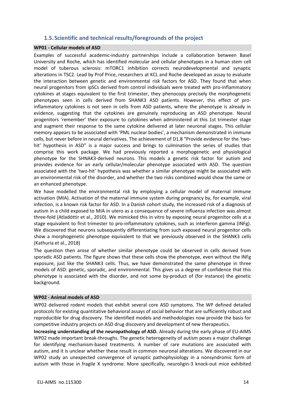## **1.5.Scientific and technical results/foregrounds of the project**

#### **WP01 - Cellular models of ASD**

Examples of successful academic-industry partnerships include a collaboration between Basel University and Roche, which has identified molecular and cellular phenotypes in a human stem cell model of tuberous sclerosis: mTORC1 inhibition corrects neurodevelopmental and synaptic alterations in TSC2. Lead by Prof Price, researchers at KCL and Roche developed an assay to evaluate the interaction between genetic and environmental risk factors for ASD. They found that when neural progenitors from ipSCs derived from control individuals were treated with pro-inflammatory cytokines at stages equivalent to the first trimester, they phenocopy precisely the morphogenetic phenotypes seen in cells derived from SHANK3 ASD patients. However, this effect of proinflammatory cytokines is not seen in cells from ASD patients, where the phenotype is already in evidence, suggesting that the cytokines are genuinely reproducing an ASD phenotype. Neural progenitors 'remember' their exposure to cytokines when administered at this 1st trimester stage and augment their response to the same cytokine delivered at later neuronal stages. This cellular memory appears to be associated with 'PML nuclear bodies', a mechanism demonstrated in immune cells, but never before in neural derivatives. The achievement of D1.8 "Provide evidence for the 'twohit' hypothesis in ASD" is a major success and brings to culmination the series of studies that comprise this work package. We had previously reported a morphogenetic and physiological phenotype for the SHNAK3-derived neurons. This models a genetic risk factor for autism and provides evidence for an early cellular/molecular phenotype associated with ASD. The question associated with the 'two-hit' hypothesis was whether a similar phenotype might be associated with an environmental risk of the disorder, and whether the two risks combined would show the same or an enhanced phenotype.

We have modelled the environmental risk by employing a cellular model of maternal immune activation (MIA). Activation of the maternal immune system during pregnancy by, for example, viral infection, is a known risk factor for ASD. In a Danish cohort study, the increased risk of a diagnosis of autism in a child exposed to MIA in utero as a consequence of severe influenza infection was almost three-fold (Atladóttir et al., 2010). We mimicked this in vitro by exposing neural progenitor cells at a stage equivalent to first trimester to pro-inflammatory cytokines, such as interferon gamma (INFg). We discovered that neurons subsequently differentiating from such exposed neural progenitor cells show a morphogenetic phenotype equivalent to that we previously observed in the SHANK3 cells (Kathuria et al., 2018)

The question then arose of whether similar phenotype could be observed in cells derived from sporadic ASD patients. The figure shows that these cells show the phenotype, even without the INFg exposure, just like the SHANK3 cells. Thus, we have demonstrated the same phenotype in three models of ASD: genetic, sporadic, and environmental. This gives us a degree of confidence that this phenotype is associated with the disorder, and not some by-product of (for instance) the genetic background.

#### **WP02 - Animal models of ASD**

WP02 delivered rodent models that exhibit several core ASD symptoms. The WP defined detailed protocols for existing quantitative behavioral assays of social behavior that are sufficiently robust and reproducible for drug discovery. The identified models and methodologies now provide the basis for competitive industry projects on ASD drug discovery and development of new therapeutics.

**Increasing understanding of the neuropathology of ASD.** Already during the early phase of EU-AIMS WP02 made important break-throughs. The genetic heterogeneity of autism poses a major challenge for identifying mechanism-based treatments. A number of rare mutations are associated with autism, and it is unclear whether these result in common neuronal alterations. We discovered in our WP02 study an unexpected convergence of synaptic pathophysiology in a nonsyndromic form of autism with those in fragile X syndrome. More specifically, neuroligin-3 knock-out mice exhibited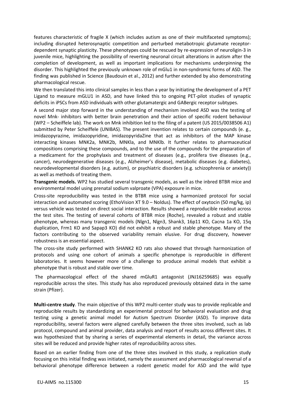features characteristic of fragile X (which includes autism as one of their multifaceted symptoms); including disrupted heterosynaptic competition and perturbed metabotropic glutamate receptordependent synaptic plasticity. These phenotypes could be rescued by re-expression of neuroligin-3 in juvenile mice, highlighting the possibility of reverting neuronal circuit alterations in autism after the completion of development, as well as important implications for mechanisms underpinning the disorder. This highlighted the previously unknown role of mGlu1 in non-syndromic forms of ASD. The finding was published in Science (Baudouin et al., 2012) and further extended by also demonstrating pharmacological rescue.

We then translated this into clinical samples in less than a year by initiating the development of a PET Ligand to measure mGLU1 in ASD, and have linked this to ongoing PET-pilot studies of synaptic deficits in iPSCs from ASD individuals with other glutamatergic and GABergic receptor subtypes.

A second major step forward in the understanding of mechanism involved ASD was the testing of novel Mnk- inhibitors with better brain penetration and their action of specific rodent behaviour (WP2 – Scheiffele lab). The work on Mnk inhibition led to the filing of a patent (US 2015/0038506 A1) submitted by Peter Scheiffele (UNIBAS). The present invention relates to certain compounds (e. g., imidazopyrazine, imidazopyridine, imidazopyridaZine that act as inhibitors of the MAP kinase interacting kinases MNK2a, MNK2b, MNKla, and MNKlb. It further relates to pharmaceutical compositions comprising these compounds, and to the use of the compounds for the preparation of a medicament for the prophylaxis and treatment of diseases (e.g., prolifera tive diseases (e.g., cancer), neurodegenerative diseases (e.g., Alzheimer's disease), metabolic diseases (e.g. diabetes), neurodevelopmental disorders (e.g. autism), or psychiatric disorders (e.g. schizophrenia or anxiety)) as well as methods of treating them.

**Transgenic models.** WP2 has studied several transgenic models, as well as the inbred BTBR mice and environmental model using prenatal sodium valproate (VPA) exposure in mice.

Cross-site reproducibility was tested in the BTBR mice using a harmonized protocol for social interaction and automated scoring (EthoVision XT 9.0 – Noldus). The effect of oxytocin (50 mg/kg, ip) versus vehicle was tested on direct social interaction. Results showed a reproducible readout across the test sites. The testing of several cohorts of BTBR mice (Roche), revealed a robust and stable phenotype, whereas many transgenic models (Nlgn1, Nlgn3, Shank3, 16p11 KO, Cacna 1a KO, 15q duplication, Frm1 KO and Sapap3 KO) did not exhibit a robust and stable phenotype. Many of the factors contributing to the observed variability remain elusive. For drug discovery, however robustness is an essential aspect.

The cross-site study performed with SHANK2 KO rats also showed that through harmonization of protocols and using one cohort of animals a specific phenotype is reproducible in different laboratories. It seems however more of a challenge to produce animal models that exhibit a phenotype that is robust and stable over time.

 The pharmacological effect of the shared mGluR1 antagonist (JNJ16259685) was equally reproducible across the sites. This study has also reproduced previously obtained data in the same strain (Pfizer).

**Multi-centre study**. The main objective of this WP2 multi-center study was to provide replicable and reproducible results by standardizing an experimental protocol for behavioral evaluation and drug testing using a genetic animal model for Autism Spectrum Disorder (ASD). To improve data reproducibility, several factors were aligned carefully between the three sites involved, such as lab protocol, compound and animal provider, data analysis and report of results across different sites. It was hypothesized that by sharing a series of experimental elements in detail, the variance across sites will be reduced and provide higher rates of reproducibility across sites.

Based on an earlier finding from one of the three sites involved in this study, a replication study focusing on this initial finding was initiated, namely the assessment and pharmacological reversal of a behavioral phenotype difference between a rodent genetic model for ASD and the wild type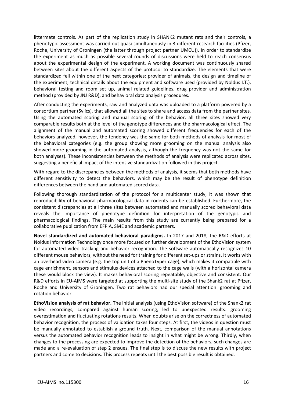littermate controls. As part of the replication study in SHANK2 mutant rats and their controls, a phenotypic assessment was carried out quasi-simultaneously in 3 different research facilities (Pfizer, Roche, University of Groningen (the latter through project partner UMCU)). In order to standardize the experiment as much as possible several rounds of discussions were held to reach consensus about the experimental design of the experiment. A working document was continuously shared between sites about the different aspects of the protocol to standardize. The elements that were standardized fell within one of the next categories: provider of animals, the design and timeline of the experiment, technical details about the equipment and software used (provided by Noldus I.T.), behavioral testing and room set up, animal related guidelines, drug provider and administration method (provided by JNJ R&D), and behavioral data analysis procedures.

After conducting the experiments, raw and analyzed data was uploaded to a platform powered by a consortium partner (Sylics), that allowed all the sites to share and access data from the partner sites. Using the automated scoring and manual scoring of the behavior, all three sites showed very comparable results both at the level of the genotype differences and the pharmacological effect. The alignment of the manual and automated scoring showed different frequencies for each of the behaviors analyzed; however, the tendency was the same for both methods of analysis for most of the behavioral categories (e.g. the group showing more grooming on the manual analysis also showed more grooming in the automated analysis, although the frequency was not the same for both analyses). These inconsistencies between the methods of analysis were replicated across sites, suggesting a beneficial impact of the intensive standardization followed in this project.

With regard to the discrepancies between the methods of analysis, it seems that both methods have different sensitivity to detect the behaviors, which may be the result of phenotype definition differences between the hand and automated scored data.

Following thorough standardization of the protocol for a multicenter study, it was shown that reproducibility of behavioral pharmacological data in rodents can be established. Furthermore, the consistent discrepancies at all three sites between automated and manually scored behavioral data reveals the importance of phenotype definition for interpretation of the genotypic and pharmacological findings. The main results from this study are currently being prepared for a collaborative publication from EFPIA, SME and academic partners.

**Novel standardized and automated behavioral paradigms.** In 2017 and 2018, the R&D efforts at Noldus Information Technology once more focused on further development of the EthoVision system for automated video tracking and behavior recognition. The software automatically recognizes 10 different mouse behaviors, without the need for training for different set-ups or strains. It works with an overhead video camera (e.g. the top unit of a PhenoTyper cage), which makes it compatible with cage enrichment, sensors and stimulus devices attached to the cage walls (with a horizontal camera these would block the view). It makes behavioral scoring repeatable, objective and consistent. Our R&D efforts in EU-AIMS were targeted at supporting the multi-site study of the Shank2 rat at Pfizer, Roche and University of Groningen. Two rat behaviors had our special attention: grooming and rotation behavior.

**EthoVision analysis of rat behavior.** The initial analysis (using EthoVision software) of the Shank2 rat video recordings, compared against human scoring, led to unexpected results: grooming overestimation and fluctuating rotations results. When doubts arise on the correctness of automated behavior recognition, the process of validation takes four steps. At first, the videos in question must be manually annotated to establish a ground truth. Next, comparison of the manual annotations versus the automated behavior recognition leads to insight in what might be wrong. Thirdly, when changes to the processing are expected to improve the detection of the behaviors, such changes are made and a re-evaluation of step 2 ensues. The final step is to discuss the new results with project partners and come to decisions. This process repeats until the best possible result is obtained.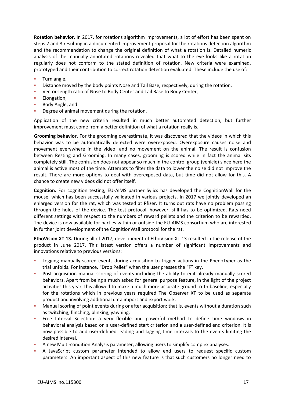**Rotation behavior.** In 2017, for rotations algorithm improvements, a lot of effort has been spent on steps 2 and 3 resulting in a documented improvement proposal for the rotations detection algorithm and the recommendation to change the original definition of what a rotation is. Detailed numeric analysis of the manually annotated rotations revealed that what to the eye looks like a rotation regularly does not conform to the stated definition of rotation. New criteria were examined, prototyped and their contribution to correct rotation detection evaluated. These include the use of:

- Turn angle,
- **EXEDENT** Distance moved by the body points Nose and Tail Base, respectively, during the rotation,
- Vector-length ratio of Nose to Body Center and Tail Base to Body Center,
- **Elongation,**
- Body Angle, and
- **•** Degree of animal movement during the rotation.

Application of the new criteria resulted in much better automated detection, but further improvement must come from a better definition of what a rotation really is.

**Grooming behavior.** For the grooming overestimate, it was discovered that the videos in which this behavior was to be automatically detected were overexposed. Overexposure causes noise and movement everywhere in the video, and no movement on the animal. The result is confusion between Resting and Grooming. In many cases, grooming is scored while in fact the animal sits completely still. The confusion does not appear so much in the control group (vehicle) since here the animal is active most of the time. Attempts to filter the data to lower the noise did not improve the result. There are more options to deal with overexposed data, but time did not allow for this. A chance to create new videos did not offer itself.

**Cognition.** For cognition testing, EU-AIMS partner Sylics has developed the CognitionWall for the mouse, which has been successfully validated in various projects. In 2017 we jointly developed an enlarged version for the rat, which was tested at Pfizer. It turns out rats have no problem passing through the holes of the device. The test protocol, however, still has to be optimized. Rats need different settings with respect to the numbers of reward pellets and the criterion to be rewarded. The device is now available for parties within or outside the EU-AIMS consortium who are interested in further joint development of the CognitionWall protocol for the rat.

**EthoVision XT 13.** During all of 2017, development of EthoVision XT 13 resulted in the release of the product in June 2017. This latest version offers a number of significant improvements and innovations relative to previous versions:

- Logging manually scored events during acquisition to trigger actions in the PhenoTyper as the trial unfolds. For instance, "Drop Pellet" when the user presses the "F" key.
- Post-acquisition manual scoring of events including the ability to edit already manually scored behaviors. Apart from being a much asked for general purpose feature, in the light of the project activities this year, this allowed to make a much more accurate ground truth baseline, especially for the rotations which in previous years required The Observer XT to be used as separate product and involving additional data import and export work.
- Manual scoring of point events during or after acquisition: that is, events without a duration such as twitching, flinching, blinking, yawning.
- **•** Free Interval Selection: a very flexible and powerful method to define time windows in behavioral analysis based on a user-defined start criterion and a user-defined end criterion. It is now possible to add user-defined leading and lagging time intervals to the events limiting the desired interval.
- A new Multi-condition Analysis parameter, allowing users to simplify complex analyses.
- A JavaScript custom parameter intended to allow end users to request specific custom parameters. An important aspect of this new feature is that such customers no longer need to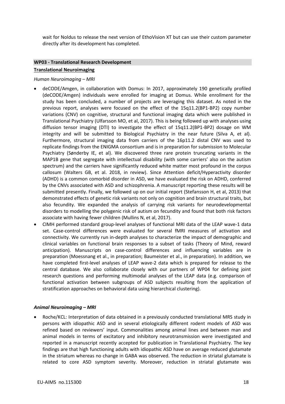wait for Noldus to release the next version of EthoVision XT but can use their custom parameter directly after its development has completed.

## **WP03 - Translational Research Development Translational Neuroimaging**

#### *Human Neuroimaging – MRI*

- deCODE/Amgen, in collaboration with Domus: In 2017, approximately 190 genetically profiled (deCODE/Amgen) individuals were enrolled for imaging at Domus. While enrollment for the study has been concluded, a number of projects are leveraging this dataset. As noted in the previous report, analyses were focused on the effect of the 15q11.2(BP1-BP2) copy number variations (CNV) on cognitive, structural and functional imaging data which were published in Translational Psychiatry (Ulfarsson MO, et al, 2017). This is being followed up with analyses using diffusion tensor imaging (DTI) to investigate the effect of 15q11.2(BP1-BP2) dosage on WM integrity and will be submitted to Biological Psychiatry in the near future (Silva A, et al). Furthermore, structural imaging data from carriers of the 16p11.2 distal CNV was used to replicate findings from the ENIGMA consortium and is in preparation for submission to Molecular Psychiatry (Sønderby IE, et al). We discovered three rare protein truncating variants in the MAP1B gene that segregate with intellectual disability (with some carriers' also on the autism spectrum) and the carriers have significantly reduced white matter most profound in the corpus callosum (Walters GB, et al. 2018, in review). Since Attention deficit/Hyperactivity disorder (ADHD) is a common comorbid disorder in ASD, we have evaluated the risk on ADHD, conferred by the CNVs associated with ASD and schizophrenia. A manuscript reporting these results will be submitted presently. Finally, we followed up on our initial report (Stefansson H, et al, 2013) that demonstrated effects of genetic risk variants not only on cognition and brain structural traits, but also fecundity. We expanded the analysis of carrying risk variants for neurodevelopmental disorders to modelling the polygenic risk of autism on fecundity and found that both risk factors associate with having fewer children (Mullins N, et al, 2017).
- CIMH performed standard group-level analyses of functional MRI data of the LEAP wave-1 data set. Case-control differences were evaluated for several fMRI measures of activation and connectivity. We currently run in-depth analyses to characterize the impact of demographic and clinical variables on functional brain responses to a subset of tasks (Theory of Mind, reward anticipation). Manuscripts on case-control differences and influencing variables are in preparation (Moessnang et al., in preparation; Baumeister et al., in preparation). In addition, we have completed first-level analyses of LEAP wave-2 data which is prepared for release to the central database. We also collaborate closely with our partners of WP04 for defining joint research questions and performing multimodal analyses of the LEAP data (e.g. comparison of functional activation between subgroups of ASD subjects resulting from the application of stratification approaches on behavioral data using hierarchical clustering).

#### *Animal Neuroimaging – MRI*

• Roche/KCL: Interpretation of data obtained in a previously conducted translational MRS study in persons with idiopathic ASD and in several etiologically different rodent models of ASD was refined based on reviewers' input. Commonalities among animal lines and between man and animal models in terms of excitatory and inhibitory neurotransmission were investigated and reported in a manuscript recently accepted for publication in Translational Psychiatry. The key findings are that high functioning adults with idiopathic ASD have on average reduced glutamate in the striatum whereas no change in GABA was observed. The reduction in striatal glutamate is related to core ASD symptom severity. Moreover, reduction in striatal glutamate was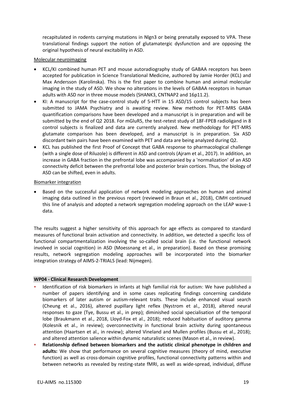recapitulated in rodents carrying mutations in Nlgn3 or being prenatally exposed to VPA. These translational findings support the notion of glutamatergic dysfunction and are opposing the original hypothesis of neural excitability in ASD.

#### Molecular neuroimaging

- KCL/KI combined human PET and mouse autoradiography study of GABAA receptors has been accepted for publication in Science Translational Medicine, authored by Jamie Horder (KCL) and Max Andersson (Karolinska). This is the first paper to combine human and animal molecular imaging in the study of ASD. We show no alterations in the levels of GABAA receptors in human adults with ASD nor in three mouse models (SHANK3, CNTNAP2 and 16p11.2).
- KI: A manuscript for the case-control study of 5-HTT in 15 ASD/15 control subjects has been submitted to JAMA Psychiatry and is awaiting review. New methods for PET-MRS GABA quantification comparisons have been developed and a manuscript is in preparation and will be submitted by the end of Q2 2018. For mGluR5, the test-retest study of 18F-FPEB radioligand in 8 control subjects is finalized and data are currently analyzed. New methodology for PET-MRS glutamate comparison has been developed, and a manuscript is in preparation. Six ASD discordant twin pairs have been examined with PET and data are being analyzed during Q2.
- KCL has published the first Proof of Concept that GABA response to pharmacological challenge (with a single dose of Riluzole) is different in ASD and controls (Ajram et al., 2017). In addition, an increase in GABA fraction in the prefrontal lobe was accompanied by a 'normalization' of an ASD connectivity deficit between the prefrontal lobe and posterior brain cortices. Thus, the biology of ASD can be shifted, even in adults.

#### Biomarker integration

• Based on the successful application of network modeling approaches on human and animal imaging data outlined in the previous report (reviewed in Braun et al., 2018), CIMH continued this line of analysis and adopted a network segregation modeling approach on the LEAP wave-1 data.

The results suggest a higher sensitivity of this approach for age effects as compared to standard measures of functional brain activation and connectivity. In addition, we detected a specific loss of functional compartmentalization involving the so-called social brain (i.e. the functional network involved in social cognition) in ASD (Moessnang et al., in preparation). Based on these promising results, network segregation modeling approaches will be incorporated into the biomarker integration strategy of AIMS-2-TRIALS (lead: Nijmegen).

#### **WP04 - Clinical Research Development**

- Identification of risk biomarkers in infants at high familial risk for autism: We have published a number of papers identifying and in some cases replicating findings concerning candidate biomarkers of later autism or autism-relevant traits. These include enhanced visual search (Cheung et al., 2016), altered pupillary light reflex (Nystrom et al., 2018), altered neural responses to gaze (Tye, Bussu et al., in prep); diminished social specialisation of the temporal lobe (Braukmann et al., 2018, Lloyd-Fox et al., 2018); reduced habituation of auditory gamma (Kolesnik et al., in review); overconnectivity in functional brain activity during spontaneous attention (Haartsen et al., in review); altered Vineland and Mullen profiles (Bussu et al., 2018); and altered attention salience within dynamic naturalistic scenes (Mason et al., in review).
- **Relationship defined between biomarkers and the autistic clinical phenotype in children and adults:** We show that performance on several cognitive measures (theory of mind, executive function) as well as cross-domain cognitive profiles, functional connectivity patterns within and between networks as revealed by resting-state fMRI, as well as wide-spread, individual, diffuse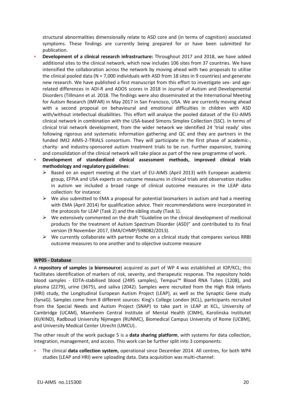structural abnormalities dimensionally relate to ASD core and (in terms of cognition) associated symptoms. These findings are currently being prepared for or have been submitted for publication.

**Development of a clinical research infrastructure:** Throughout 2017 and 2018, we have added additional sites to the clinical network, which now includes 106 sites from 37 countries. We have intensified the collaboration across the network by moving ahead with two proposals to utilise the clinical pooled data (N = 7,000 individuals with ASD from 18 sites in 9 countries) and generate new research. We have published a first manuscript from this effort to investigate sex- and agerelated differences in ADI-R and ADOS scores in 2018 in Journal of Autism and Developmental Disorders (Tillmann et al. 2018. The findings were also disseminated at the International Meeting for Autism Research (IMFAR) in May 2017 in San Francisco, USA. We are currently moving ahead with a second proposal on behavioural and emotional difficulties in children with ASD with/without intellectual disabilities. This effort will analyse the pooled dataset of the EU-AIMS clinical network in combination with the USA-based Simons Simplex Collection (SSC). In terms of clinical trial network development, from the wider network we identified 24 'trial ready' sites following rigorous and systematic information gathering and QC and they are partners in the funded IMI2 AIMS-2-TRIALS consortium. They will participate in the first phase of academic-, charity- and industry-sponsored autism treatment trials to be run. Further expansion, training and consolidation of the clinical network will take place as part of the new programme of work.

Development of standardized clinical assessment methods, improved clinical trials **methodology and regulatory guidelines**:

- ➢ Based on an expert meeting at the start of EU-AIMS (April 2013) with European academic group, EFPIA and USA experts on outcome measures in clinical trials and observation studies in autism we included a broad range of clinical outcome measures in the LEAP data collection: for instance:
- $\triangleright$  We also submitted to EMA a proposal for potential biomarkers in autism and had a meeting with EMA (April 2014) for qualification advice. Their recommendations were incorporated in the protocols for LEAP (Task 2) and the sibling study (Task 1).
- $\triangleright$  We extensively commented on the draft "Guideline on the clinical development of medicinal products for the treatment of Autism Spectrum Disorder (ASD)" and contributed to its final version (9 November 2017, EMA/CHMP/598082/2013).
- $\triangleright$  We currently collaborate with partner Roche on a clinical study that compares various RRBI outcome measures to one another and to objective outcome measure

#### **WP05 - Database**

A **repository of samples** (**a bioresource**) acquired as part of WP 4 was established at IOP/KCL; this facilitates identification of markers of risk, severity, and therapeutic response. The repository holds blood samples - EDTA-stabilised blood (2495 samples), Tempus™ Blood RNA Tubes (1208), and plasma (2279), urine (3675), and saliva (2042). Samples were recruited from the High Risk Infants (HRI) study, the Longitudinal European Autism Project (LEAP), as well as the Synaptic Gene study (SynaG). Samples come from 8 different sources: King's College London (KCL), participants recruited from the Special Needs and Autism Project (SNAP) to take part in LEAP at KCL, University of Cambridge (UCAM), Mannheim Central Institute of Mental Health (CIMH), Karolinska Institutet (KI/KIND), Radboud University Nijmegen (RUNMC), Biomedical Campus University of Rome (UCBM), and University Medical Center Utrecht (UMCU)..

The other result of the work package 5 is a **data sharing platform**, with systems for data collection, integration, management, and access. This work can be further split into 3 components:

▪ The clinical **data collection system,** operational since December 2014. All centres, for both WP4 studies (LEAP and HRI) were uploading data. Data acquisition was multi-channel: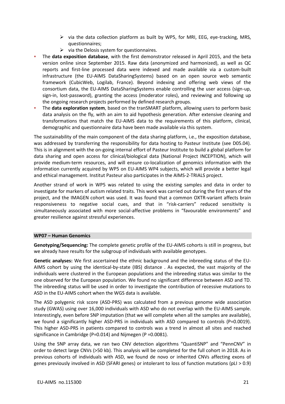- ➢ via the data collection platform as built by WP5, for MRI, EEG, eye-tracking, MRS, questionnaires;
- $\triangleright$  via the Delosis system for questionnaires.
- The **data exposition database**, with the first demonstrator released in April 2015, and the beta version online since September 2015. Raw data (anonymized and harmonized), as well as QC reports and first-line processed data were indexed and made available via a custom-built infrastructure (the EU-AIMS DataSharingSystems) based on an open source web semantic framework (CubicWeb, Logilab, France). Beyond indexing and offering web views of the consortium data, the EU-AIMS DataSharingSystems enable controlling the user access (sign-up, sign-in, lost-password), granting the access (moderator roles), and reviewing and following up the ongoing research projects performed by defined research groups.
- The **data exploration system**, based on the tranSMART platform, allowing users to perform basic data analysis on the fly, with an aim to aid hypothesis generation. After extensive cleaning and transformations that match the EU-AIMS data to the requirements of this platform, clinical, demographic and questionnaire data have been made available via this system.

The sustainability of the main component of the data sharing platform, i.e., the exposition database, was addressed by transferring the responsibility for data hosting to Pasteur Institute (see D05.04). This is in alignment with the on-going internal effort of Pasteur Institute to build a global platform for data sharing and open access for clinical/biological data (National Project INCEPTION), which will provide medium-term resources, and will ensure co-localization of genomics information with the information currently acquired by WP5 on EU-AIMS WP4 subjects, which will provide a better legal and ethical management. Institut Pasteur also participates in the AIMS-2-TRIALS project.

Another strand of work in WP5 was related to using the existing samples and data in order to investigate for markers of autism related traits. This work was carried out during the first years of the project, and the IMAGEN cohort was used. It was found that a common OXTR-variant affects brain responsiveness to negative social cues, and that in "risk-carriers" reduced sensitivity is simultaneously associated with more social-affective problems in "favourable environments" and greater resilience against stressful experiences.

#### **WP07 – Human Genomics**

**Genotyping/Sequencing:** The complete genetic profile of the EU-AIMS cohorts is still in progress, but we already have results for the subgroup of individuals with available genotypes.

**Genetic analyses:** We first ascertained the ethnic background and the inbreeding status of the EU-AIMS cohort by using the identical-by-state (IBS) distance . As expected, the vast majority of the individuals were clustered in the European populations and the inbreeding status was similar to the one observed for the European population. We found no significant difference between ASD and TD. The inbreeding status will be used in order to investigate the contribution of recessive mutations to ASD in the EU-AIMS cohort when the WGS data is available.

The ASD polygenic risk score (ASD-PRS) was calculated from a previous genome wide association study (GWAS) using over 16,000 individuals with ASD who do not overlap with the EU-AIMS sample. Interestingly, even before SNP imputation (that we will complete when all the samples are available), we found a significantly higher ASD-PRS in individuals with ASD compared to controls (P=0.0019). This higher ASD-PRS in patients compared to controls was a trend in almost all sites and reached significance in Cambridge (P=0.014) and Nijmegen (P =0.0081).

Using the SNP array data, we ran two CNV detection algorithms "QuantiSNP" and "PennCNV" in order to detect large CNVs (>50 kb). This analysis will be completed for the full cohort in 2018. As in previous cohorts of individuals with ASD, we found de novo or inherited CNVs affecting exons of genes previously involved in ASD (SFARI genes) or intolerant to loss of function mutations (pLI > 0.9)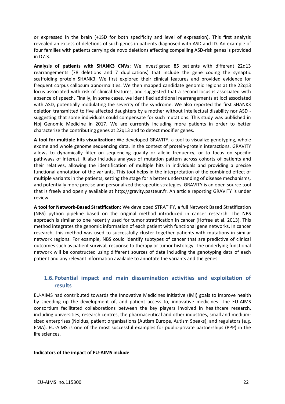or expressed in the brain (+1SD for both specificity and level of expression). This first analysis revealed an excess of deletions of such genes in patients diagnosed with ASD and ID. An example of four families with patients carrying de novo deletions affecting compelling ASD-risk genes is provided in D7.3.

**Analysis of patients with SHANK3 CNVs**: We investigated 85 patients with different 22q13 rearrangements (78 deletions and 7 duplications) that include the gene coding the synaptic scaffolding protein SHANK3. We first explored their clinical features and provided evidence for frequent corpus callosum abnormalities. We then mapped candidate genomic regions at the 22q13 locus associated with risk of clinical features, and suggested that a second locus is associated with absence of speech. Finally, in some cases, we identified additional rearrangements at loci associated with ASD, potentially modulating the severity of the syndrome. We also reported the first SHANK3 deletion transmitted to five affected daughters by a mother without intellectual disability nor ASD suggesting that some individuals could compensate for such mutations. This study was published in Npj Genomic Medicine in 2017. We are currently including more patients in order to better characterize the contributing genes at 22q13 and to detect modifier genes.

**A tool for multiple hits visualization:** We developed GRAVITY, a tool to visualize genotyping, whole exome and whole genome sequencing data, in the context of protein-protein interactions. GRAVITY allows to dynamically filter on sequencing quality or allelic frequency, or to focus on specific pathways of interest. It also includes analyses of mutation pattern across cohorts of patients and their relatives, allowing the identification of multiple hits in individuals and providing a precise functional annotation of the variants. This tool helps in the interpretation of the combined effect of multiple variants in the patients, setting the stage for a better understanding of disease mechanisms, and potentially more precise and personalized therapeutic strategies. GRAVITY is an open source tool that is freely and openly available at http://gravity.pasteur.fr. An article reporting GRAVITY is under review.

**A tool for Network-Based Stratification:** We developed STRATIPY, a full Network Based Stratification (NBS) python pipeline based on the original method introduced in cancer research. The NBS approach is similar to one recently used for tumor stratification in cancer (Hofree et al. 2013). This method integrates the genomic information of each patient with functional gene networks. In cancer research, this method was used to successfully cluster together patients with mutations in similar network regions. For example, NBS could identify subtypes of cancer that are predictive of clinical outcomes such as patient survival, response to therapy or tumor histology. The underlying functional network will be constructed using different sources of data including the genotyping data of each patient and any relevant information available to annotate the variants and the genes.

## **1.6.Potential impact and main dissemination activities and exploitation of results**

EU-AIMS had contributed towards the Innovative Medicines Initiative (IMI) goals to improve health by speeding up the development of, and patient access to, innovative medicines. The EU-AIMS consortium facilitated collaborations between the key players involved in healthcare research, including universities, research centres, the pharmaceutical and other industries, small and mediumsized enterprises (Noldus, patient organisations (Autism Europe, Autism Speaks), and regulators (e.g. EMA). EU-AIMS is one of the most successful examples for public-private partnerships (PPP) in the life sciences.

#### **Indicators of the impact of EU-AIMS include**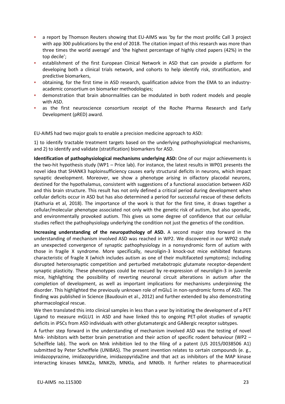- a report by Thomson Reuters showing that EU-AIMS was 'by far the most prolific Call 3 project with app 300 publications by the end of 2018. The citation impact of this research was more than three times the world average' and 'the highest percentage of highly cited papers (42%) in the top decile';
- establishment of the first European Clinical Network in ASD that can provide a platform for developing both a clinical trials network, and cohorts to help identify risk, stratification, and predictive biomarkers,
- obtaining, for the first time in ASD research, qualification advice from the EMA to an industryacademic consortium on biomarker methodologies;
- demonstration that brain abnormalities can be modulated in both rodent models and people with ASD.
- **•** as the first neuroscience consortium receipt of the Roche Pharma Research and Early Development (pRED) award.

EU-AIMS had two major goals to enable a precision medicine approach to ASD:

1) to identify tractable treatment targets based on the underlying pathophysiological mechanisms, and 2) to identify and validate (stratification) biomarkers for ASD.

**Identification of pathophysiological mechanisms underlying ASD:** One of our major achievements is the two-hit hypothesis study (WP1 – Price lab). For instance, the latest results in WP01 presents the novel idea that SHANK3 haploinsufficiency causes early structural deficits in neurons, which impact synaptic development. Moreover, we show a phenotype arising in olfactory placodal neurons, destined for the hypothalamus, consistent with suggestions of a functional association between ASD and this brain structure. This result has not only defined a critical period during development when cellular deficits occur in ASD but has also determined a period for successful rescue of these deficits (Kathuria et al, 2018). The importance of the work is that for the first time, it draws together a cellular/molecular phenotype associated not only with the genetic risk of autism, but also sporadic, and environmentally provoked autism. This gives us some degree of confidence that our cellular studies reflect the pathophysiology underlying the condition not just the genetics of the condition.

**Increasing understanding of the neuropathology of ASD.** A second major step forward in the understanding of mechanism involved ASD was reached in WP2. We discovered in our WP02 study an unexpected convergence of synaptic pathophysiology in a nonsyndromic form of autism with those in fragile X syndrome. More specifically, neuroligin-3 knock-out mice exhibited features characteristic of fragile X (which includes autism as one of their multifaceted symptoms); including disrupted heterosynaptic competition and perturbed metabotropic glutamate receptor-dependent synaptic plasticity. These phenotypes could be rescued by re-expression of neuroligin-3 in juvenile mice, highlighting the possibility of reverting neuronal circuit alterations in autism after the completion of development, as well as important implications for mechanisms underpinning the disorder. This highlighted the previously unknown role of mGlu1 in non-syndromic forms of ASD. The finding was published in Science (Baudouin et al., 2012) and further extended by also demonstrating pharmacological rescue.

We then translated this into clinical samples in less than a year by initiating the development of a PET Ligand to measure mGLU1 in ASD and have linked this to ongoing PET-pilot studies of synaptic deficits in iPSCs from ASD individuals with other glutamatergic and GABergic receptor subtypes.

A further step forward in the understanding of mechanism involved ASD was the testing of novel Mnk- inhibitors with better brain penetration and their action of specific rodent behaviour (WP2 – Scheiffele lab). The work on Mnk inhibition led to the filing of a patent (US 2015/0038506 A1) submitted by Peter Scheiffele (UNIBAS). The present invention relates to certain compounds (e. g., imidazopyrazine, imidazopyridine, imidazopyridaZine and that act as inhibitors of the MAP kinase interacting kinases MNK2a, MNK2b, MNKla, and MNKlb. It further relates to pharmaceutical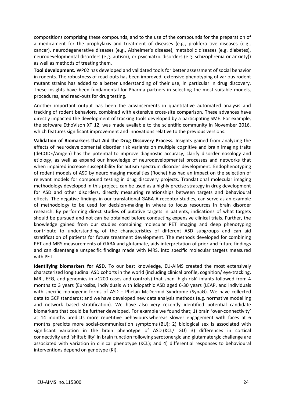compositions comprising these compounds, and to the use of the compounds for the preparation of a medicament for the prophylaxis and treatment of diseases (e.g., prolifera tive diseases (e.g., cancer), neurodegenerative diseases (e.g., Alzheimer's disease), metabolic diseases (e.g. diabetes), neurodevelopmental disorders (e.g. autism), or psychiatric disorders (e.g. schizophrenia or anxiety)) as well as methods of treating them.

**Tool development.** WP02 has developed and validated tools for better assessment of social behavior in rodents. The robustness of read-outs has been improved, extensive phenotyping of various rodent mutant strains has added to a better understanding of their use, in particular in drug discovery. These insights have been fundamental for Pharma partners in selecting the most suitable models, procedures, and read-outs for drug testing.

Another important output has been the advancements in quantitative automated analysis and tracking of rodent behaviors, combined with extensive cross-site comparison. These advances have directly impacted the development of tracking tools developed by a participating SME. For example, the software EthoVison XT 12, was made available to the scientific community in November 2016, which features significant improvement and innovations relative to the previous versions.

**Validation of Biomarkers that Aid the Drug Discovery Process.** Insights gained from analyzing the effects of neurodevelopmental disorder risk variants on multiple cognitive and brain imaging traits (deCODE/Amgen) has the potential to improve diagnostic accuracy, clarify disorder nosology and etiology, as well as expand our knowledge of neurodevelopmental processes and networks that when impaired increase susceptibility for autism spectrum disorder development. Endophenotyping of rodent models of ASD by neuroimaging modalities (Roche) has had an impact on the selection of relevant models for compound testing in drug discovery projects. Translational molecular imaging methodology developed in this project, can be used as a highly precise strategy in drug development for ASD and other disorders, directly measuring relationships between targets and behavioural effects. The negative findings in our translational GABA-A receptor studies, can serve as an example of methodology to be used for decision-making in where to focus resources in brain disorder research. By performing direct studies of putative targets in patients, indications of what targets should be pursued and not can be obtained before conducting expensive clinical trials. Further, the knowledge gained from our studies combining molecular PET imaging and deep phenotyping contribute to understanding of the characteristics of different ASD subgroups and can aid stratification of patients for future treatment development. The methods developed for combining PET and MRS measurements of GABA and glutamate, aids interpretation of prior and future findings and can disentangle unspecific findings made with MRS, into specific molecular targets measured with PET.

**Identifying biomarkers for ASD.** To our best knowledge, EU-AIMS created the most extensively characterized longitudinal ASD cohorts in the world (including clinical profile, cognition/ eye-tracking, MRI, EEG, and genomics in >1200 cases and controls) that span 'high risk' infants followed from 4 months to 3 years (Eurosibs, individuals with idiopathic ASD aged 6-30 years (LEAP, and individuals with specific monogenic forms of ASD – Phelan McDermid Syndrome (SynaG). We have collected data to GCP standards; and we have developed new data analysis methods (e.g. normative modelling and network based stratification). We have also very recently identified potential candidate biomarkers that could be further developed. For example we found that; 1) brain 'over-connectivity' at 14 months predicts more repetitive behaviours whereas slower engagement with faces at 6 months predicts more social-communication symptoms (BU); 2) biological sex is associated with significant variation in the brain phenotype of ASD (KCL/ GU) 3) differences in cortical connectivity and 'shiftability' in brain function following serotonergic and glutamatergic challenge are associated with variation in clinical phenotype (KCL); and 4) differential responses to behavioural interventions depend on genotype (KI).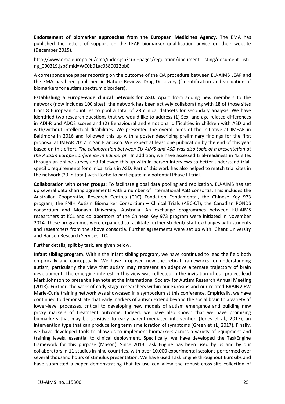**Endorsement of biomarker approaches from the European Medicines Agency**. The EMA has published the letters of support on the LEAP biomarker qualification advice on their website (December 2015).

http://www.ema.europa.eu/ema/index.jsp?curl=pages/regulation/document\_listing/document\_listi ng\_000319.jsp&mid=WC0b01ac0580022bb0

A correspondence paper reporting on the outcome of the QA procedure between EU-AIMS LEAP and the EMA has been published in Nature Reviews Drug Discovery ("Identification and validation of biomarkers for autism spectrum disorders).

**Establishing a Europe-wide clinical network for ASD:** Apart from adding new members to the network (now includes 100 sites), the network has been actively collaborating with 18 of those sites from 8 European countries to pool a total of 28 clinical datasets for secondary analysis. We have identified two research questions that we would like to address (1) Sex- and age-related differences in ADI-R and ADOS scores and (2) Behavioural and emotional difficulties in children with ASD and with/without intellectual disabilities. We presented the overall aims of the initiative at IMFAR in Baltimore in 2016 and followed this up with a poster describing preliminary findings for the first proposal at IMFAR 2017 in San Francisco. We expect at least one publication by the end of this year based on this effort. *The collaboration between EU-AIMS and ASD was also topic of a presentation at the Autism Europe conference in Edinburgh.* In addition, we have assessed trial-readiness in 43 sites through an online survey and followed this up with in-person interviews to better understand trialspecific requirements for clinical trials in ASD. Part of this work has also helped to match trial sites in the network (23 in total) with Roche to participate in a potential Phase III trial.

**Collaboration with other groups**: To facilitate global data pooling and replication, EU-AIMS has set up several data sharing agreements with a number of international ASD consortia. This includes the Australian Cooperative Research Centres (CRC) Fondation Fondamental, the Chinese Key 973 program, the FNIH Autism Biomarker Consortium – Clinical Trials (ABC-CT), the Canadian PONDS consortium and Monash University, Australia. An exchange programmes between EU-AIMS researchers at KCL and collaborators of the Chinese Key 973 program were initiated in November 2014. These programmes were expanded to facilitate further student/ staff exchanges with students and researchers from the above consortia. Further agreements were set up with: Ghent University and Hansen Research Services LLC.

Further details, split by task, are given below.

**Infant sibling program**. Within the infant sibling program, we have continued to lead the field both empirically and conceptually. We have proposed new theoretical frameworks for understanding autism, particularly the view that autism may represent an adaptive alternate trajectory of brain development. The emerging interest in this view was reflected in the invitation of our project lead Mark Johnson to present a keynote at the International Society for Autism Research Annual Meeting (2018). Further, the work of early stage researchers within our Eurosibs and our related BRAINVIEW Marie-Curie training network was showcased in a symposium at this conference. Empirically, we have continued to demonstrate that early markers of autism extend beyond the social brain to a variety of lower-level processes, critical to developing new models of autism emergence and building new proxy markers of treatment outcome. Indeed, we have also shown that we have promising biomarkers that may be sensitive to early parent-mediated intervention (Jones et al., 2017), an intervention type that can produce long term amelioration of symptoms (Green et al., 2017). Finally, we have developed tools to allow us to implement biomarkers across a variety of equipment and training levels, essential to clinical deployment. Specifically, we have developed the TaskEngine framework for this purpose (Mason). Since 2013 Task Engine has been used by us and by our collaborators in 11 studies in nine countries, with over 10,000 experimental sessions performed over several thousand hours of stimulus presentation. We have used Task Engine throughout Eurosibs and have submitted a paper demonstrating that its use can allow the robust cross-site collection of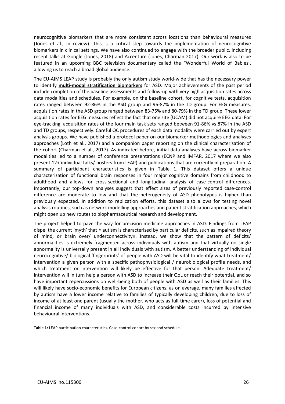neurocognitive biomarkers that are more consistent across locations than behavioural measures (Jones et al., in review). This is a critical step towards the implementation of neurocognitive biomarkers in clinical settings. We have also continued to engage with the broader public, including recent talks at Google (Jones, 2018) and Accenture (Jones, Charman 2017). Our work is also to be featured in an upcoming BBC television documentary called the "Wonderful World of Babies', allowing us to reach a broad global audience.

The EU-AIMS LEAP study is probably the only autism study world-wide that has the necessary power to identify **multi-modal stratification biomarkers** for ASD. Major achievements of the past period include completion of the baseline assessments and follow-up with very high acquisition rates across data modalities and schedules. For example, on the baseline cohort, for cognitive tests, acquisition rates ranged between 92-86% in the ASD group and 96-87% in the TD group. For EEG measures, acquisition rates in the ASD group ranged between 83-75% and 80-79% in the TD group. These lower acquisition rates for EEG measures reflect the fact that one site (UCAM) did not acquire EEG data. For eye-tracking, acquisition rates of the four main task sets ranged between 91-86% vs 87% in the ASD and TD groups, respectively. Careful QC procedures of each data modality were carried out by expert analysis groups. We have published a protocol paper on our biomarker methodologies and analyses approaches (Loth et al., 2017) and a companion paper reporting on the clinical characterisation of the cohort (Charman et al., 2017). As indicated before, initial data analyses have across biomarker modalities led to a number of conference presentations (ECNP and IMFAR, 2017 where we also present 12+ individual talks/ posters from LEAP) and publications that are currently in preparation. A summary of participant characteristics is given in Table 1. This dataset offers a unique characterization of functional brain responses in four major cognitive domains from childhood to adulthood and allows for cross-sectional and longitudinal analysis of case-control differences. Importantly, our top-down analyses suggest that effect sizes of previously reported case-control difference are moderate to low and that the heterogeneity of ASD phenotypes is higher than previously expected. In addition to replication efforts, this dataset also allows for testing novel analysis routines, such as network modelling approaches and patient stratification approaches, which might open up new routes to biopharmaceutical research and development.

The project helped to pave the way for precision medicine approaches in ASD. Findings from LEAP dispel the current 'myth' that « autism is characterised by particular deficits, such as impaired theory of mind, or brain over/ underconnectivity». Instead, we show that the pattern of deficits/ abnormalities is extremely fragmented across individuals with autism and that virtually no single abnormality is universally present in all individuals with autism. A better understanding of individual neurocognitive/ biological 'fingerprints' of people with ASD will be vital to identify what treatment/ intervention a given person with a specific pathophysiological / neurobiological profile needs, and which treatment or intervention will likely be effective for that person. Adequate treatment/ intervention will in turn help a person with ASD to increase their QoL or reach their potential, and so have important repercussions on well-being both of people with ASD as well as their families. This will likely have socio-economic benefits for European citizens, as on average, many families affected by autism have a lower income relative to families of typically developing children, due to loss of income of at least one parent (usually the mother, who acts as full-time carer), loss of potential and financial income of many individuals with ASD, and considerable costs incurred by intensive behavioural interventions.

**Table 1:** LEAP participation characteristics. Case-control cohort by sex and schedule.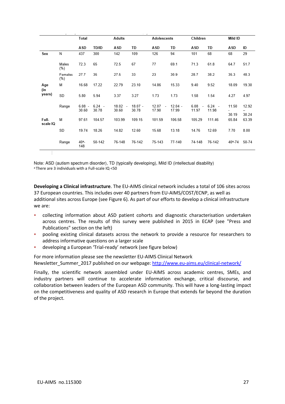|                      |                | Total                  |                   | <b>Adults</b>      |                  | Adolescents                      |                    | Children |                          | Mild ID            |                |
|----------------------|----------------|------------------------|-------------------|--------------------|------------------|----------------------------------|--------------------|----------|--------------------------|--------------------|----------------|
|                      |                | ASD                    | <b>TD/ID</b>      | ASD                | TD               | ASD                              | TD                 | ASD      | TD                       | ASD                | ID             |
| Sex                  | Ν              | 437                    | 300               | 142                | 109              | 126                              | 94                 | 101      | 68                       | 68                 | 29             |
|                      | Males<br>(%)   | 72.3                   | 65                | 72.5               | 67               | 77                               | 69.1               | 71.3     | 61.8                     | 64.7               | 51.7           |
|                      | Females<br>(%) | 27.7                   | 35                | 27.5               | 33               | 23                               | 30.9               | 28.7     | 38.2                     | 35.3               | 48.3           |
| Age<br>(in<br>years) | М              | 16.68                  | 17.22             | 22.79              | 23.10            | 14.86                            | 15.33              | 9.40     | 9.52                     | 18.09              | 19.30          |
|                      | SD             | 5.80                   | 5.94              | 3.37               | 3.27             | 1.73                             | 1.73               | 1.58     | 1.54                     | 4.27               | 4.97           |
|                      | Range          | $6.08 -$<br>30.60      | $6.24 -$<br>30.78 | $18.02 -$<br>30.60 | 18.07 -<br>30.78 | 12.07<br>$\overline{a}$<br>17.90 | $12.04 -$<br>17.99 | 11.97    | $6.08 - 6.24 -$<br>11.98 | 11.50<br>30.19     | 12.92<br>30.24 |
| Full-<br>scale IQ    | М              | 97.61                  | 104.57            | 103.99             | 109.15           | 101.59                           | 106.58             | 105.29   | 111.46                   | 65.84              | 63.39          |
|                      | SD             | 19.74                  | 18.26             | 14.82              | 12.60            | 15.68                            | 13.18              | 14.76    | 12.69                    | 7.70               | 8.00           |
|                      | Range          | 40 <sup>a</sup><br>148 | 50-142            | 76-148             | 76-142           | 75-143                           | 77-140             | 74-148   | 76-142                   | 40a <sub>-74</sub> | 50-74          |

Note: ASD (autism spectrum disorder), TD (typically developing), Mild ID (intellectual disability) <sup>a</sup>There are 3 individuals with a Full-scale IQ <50

**Developing a Clinical infrastructure**. The EU-AIMS clinical network includes a total of 106 sites across 37 European countries. This includes over 40 partners from EU-AIMS/COST/ECNP, as well as additional sites across Europe (see Figure 6). As part of our efforts to develop a clinical infrastructure we are:

- collecting information about ASD patient cohorts and diagnostic characterisation undertaken across centres. The results of this survey were published in 2015 in ECAP (see "Press and Publications" section on the left)
- pooling existing clinical datasets across the network to provide a resource for researchers to address informative questions on a larger scale
- developing a European 'Trial-ready' network (see figure below)

For more information please see the newsletter EU-AIMS Clinical Network Newsletter\_Summer\_2017 published on our webpage:<http://www.eu-aims.eu/clinical-network/>

Finally, the scientific network assembled under EU-AIMS across academic centres, SMEs, and industry partners will continue to accelerate information exchange, critical discourse, and collaboration between leaders of the European ASD community. This will have a long-lasting impact on the competitiveness and quality of ASD research in Europe that extends far beyond the duration of the project.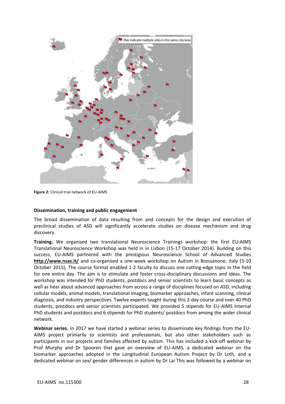

**Figure 2:** Clinical trial network of EU-AIMS

#### **Dissemination, training and public engagement**

The broad dissemination of data resulting from and concepts for the design and execution of preclinical studies of ASD will significantly accelerate studies on disease mechanism and drug discovery.

**Training.** We organised two translational Neuroscience Trainings workshop: the first EU-AIMS Translational Neuroscience Workshop was held in in Lisbon (15-17 October 2014). Building on this success, EU-AIMS partnered with the prestigious Neuroscience School of Advanced Studies **<http://www.nsas.it/>** and co-organised a one-week workshop on Autism in Bressanone, Italy (3-10 October 2015). The course format enabled 1-2 faculty to discuss one cutting-edge topic in the field for one entire day. The aim is to stimulate and foster cross-disciplinary discussions and ideas. The workshop was intended for PhD students, postdocs and senior scientists to learn basic concepts as well as hear about advanced approaches from across a range of disciplines focused on ASD, including cellular models, animal models, translational imaging, biomarker approaches, infant scanning, clinical diagnosis, and industry perspectives. Twelve experts taught during this 2-day course and over 40 PhD students, postdocs and senior scientists participated. We provided 5 stipends for EU-AIMS Internal PhD students and postdocs and 6 stipends for PhD students/ postdocs from among the wider clinical network.

**Webinar series.** In 2017 we have started a webinar series to disseminate key findings from the EU-AIMS project primarily to scientists and professionals, but also other stakeholders such as participants in our projects and families affected by autism. This has included a kick-off webinar by Prof Murphy and Dr Spooren that gave an overview of EU-AIMS, a dedicated webinar on the biomarker approaches adopted in the Longitudinal European Autism Project by Dr Loth, and a dedicated webinar on sex/ gender differences in autism by Dr Lai This was followed by a webinar on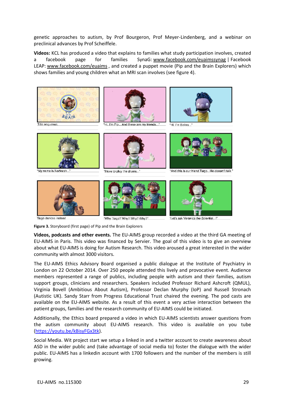genetic approaches to autism, by Prof Bourgeron, Prof Meyer-Lindenberg, and a webinar on preclinical advances by Prof Scheiffele.

**Videos:** KCL has produced a video that explains to families what study participation involves, created a facebook page for families SynaG: [www.facebook.com/euaimssynag](http://www.facebook.com/euaimssynag) | Facebook LEAP: [www.facebook.com/euaims](http://www.facebook.com/euaims) , and created a puppet movie (Pip and the Brain Explorers) which shows families and young children what an MRI scan involves (see figure 4).



Tiago dances instead

"Why Tiago? Why? Why? Why?"

"Let's ask Veronica the Scientist...!"

**Figure 3.** Storyboard (first page) of Pip and the Brain Explorers

**Videos, podcasts and other events.** The EU-AIMS group recorded a video at the third GA meeting of EU-AIMS in Paris. This video was financed by Servier. The goal of this video is to give an overview about what EU-AIMS is doing for Autism Research. This video aroused a great interested in the wider community with almost 3000 visitors.

The EU-AIMS Ethics Advisory Board organised a public dialogue at the Institute of Psychiatry in London on 22 October 2014. Over 250 people attended this lively and provocative event. Audience members represented a range of publics, including people with autism and their families, autism support groups, clinicians and researchers. Speakers included Professor Richard Ashcroft (QMUL), Virginia Bovell (Ambitious About Autism), Professor Declan Murphy (IoP) and Russell Stronach (Autistic UK). Sandy Starr from Progress Educational Trust chaired the evening. The pod casts are available on the EU-AIMS website. As a result of this event a very active interaction between the patient groups, families and the research community of EU-AIMS could be initiated.

Additionally, the Ethics board prepared a video in which EU-AIMS scientists answer questions from the autism community about EU-AIMS research. This video is available on you tube [\(https://youtu.be/kBisyFGx3tk\)](https://youtu.be/kBisyFGx3tk).

Social Media. Wit project start we setup a linked in and a twitter account to create awareness about ASD in the wider public and (take advantage of social media to) foster the dialogue with the wider public. EU-AIMS has a linkedin account with 1700 followers and the number of the members is still growing.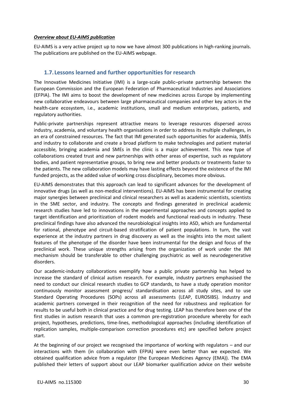#### *Overview about EU-AIMS publication*

EU-AIMS is a very active project up to now we have almost 300 publications in high-ranking journals. The publications are published on the EU-AIMS webpage.

## **1.7. Lessons learned and further opportunities for research**

The Innovative Medicines Initiative (IMI) is a large-scale public–private partnership between the European Commission and the European Federation of Pharmaceutical Industries and Associations (EFPIA). The IMI aims to boost the development of new medicines across Europe by implementing new collaborative endeavours between large pharmaceutical companies and other key actors in the health-care ecosystem, i.e., academic institutions, small and medium enterprises, patients, and regulatory authorities.

Public-private partnerships represent attractive means to leverage resources dispersed across industry, academia, and voluntary health organisations in order to address its multiple challenges, in an era of constrained resources. The fact that IMI generated such opportunities for academia, SMEs and industry to collaborate and create a broad platform to make technologies and patient material accessible, bringing academia and SMEs in the clinic is a major achievement. This new type of collaborations created trust and new partnerships with other areas of expertise, such as regulatory bodies, and patient representative groups, to bring new and better products or treatments faster to the patients. The new collaboration models may have lasting effects beyond the existence of the IMI funded projects, as the added value of working cross disciplinary, becomes more obvious.

EU-AIMS demonstrates that this approach can lead to significant advances for the development of innovative drugs (as well as non-medical interventions). EU-AIMS has been instrumental for creating major synergies between preclinical and clinical researchers as well as academic scientists, scientists in the SME sector, and industry. The concepts and findings generated in preclinical academic research studies have led to innovations in the experimental approaches and concepts applied to target identification and prioritization of rodent models and functional read-outs in industry. These preclinical findings have also advanced the neurobiological insights into ASD, which are fundamental for rational, phenotype and circuit-based stratification of patient populations. In turn, the vast experience at the industry partners in drug discovery as well as the insights into the most salient features of the phenotype of the disorder have been instrumental for the design and focus of the preclinical work. These unique strengths arising from the organization of work under the IMI mechanism should be transferable to other challenging psychiatric as well as neurodegenerative disorders.

Our academic-industry collaborations exemplify how a public private partnership has helped to increase the standard of clinical autism research. For example, industry partners emphasised the need to conduct our clinical research studies to GCP standards, to have a study operation monitor continuously monitor assessment progress/ standardisation across all study sites, and to use Standard Operating Procedures (SOPs) across all assessments (LEAP, EUROSIBS). Industry and academic partners converged in their recognition of the need for robustness and replication for results to be useful both in clinical practice and for drug testing. LEAP has therefore been one of the first studies in autism research that uses a common pre-registration procedure whereby for each project, hypotheses, predictions, time-lines, methodological approaches (including identification of replication samples, multiple-comparison correction procedures etc) are specified before project start.

At the beginning of our project we recognised the importance of working with regulators – and our interactions with them (in collaboration with EFPIA) were even better than we expected. We obtained qualification advice from a regulator (the European Medicines Agency (EMA)). The EMA published their letters of support about our LEAP biomarker qualification advice on their website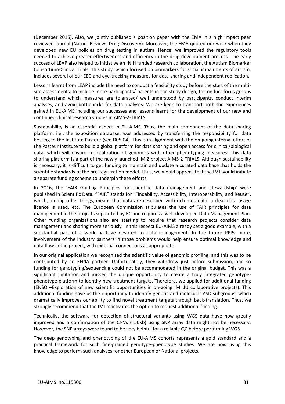(December 2015). Also, we jointly published a position paper with the EMA in a high impact peer reviewed journal (Nature Reviews Drug Discovery). Moreover, the EMA quoted our work when they developed new EU policies on drug testing in autism. Hence, we improved the regulatory tools needed to achieve greater effectiveness and efficiency in the drug development process. The early success of LEAP also helped to initiative an fNIH funded research collaboration, the Autism Biomarker Consortium-Clinical Trials. This study, which focused on biomarkers for social impairments of autism, includes several of our EEG and eye-tracking measures for data-sharing and independent replication.

Lessons learnt from LEAP include the need to conduct a feasibility study before the start of the multisite assessments, to include more participants/ parents in the study design, to conduct focus groups to understand which measures are tolerated/ well understood by participants, conduct interim analyses, and avoid bottlenecks for data analyses. We are keen to transport both the experiences gained in EU-AIMS including our successes and lessons learnt for the development of our new and continued clinical research studies in AIMS-2-TRIALS.

Sustainability is an essential aspect in EU-AIMS. Thus, the main component of the data sharing platform, i.e., the exposition database, was addressed by transferring the responsibility for data hosting to the Institute Pasteur (see D05.04). This is in alignment with the on-going internal effort of the Pasteur Institute to build a global platform for data sharing and open access for clinical/biological data, which will ensure co-localization of genomics with other phenotyping measures. This data sharing platform is a part of the newly launched IMI2 project AIMS-2-TRIALS. Although sustainability is necessary; it is difficult to get funding to maintain and update a curated data base that holds the scientific standards of the pre-registration model. Thus, we would appreciate if the IMI would initiate a separate funding scheme to underpin these efforts.

In 2016, the 'FAIR Guiding Principles for scientific data management and stewardship' were published in Scientific Data. "FAIR" stands for "Findability, Accessibility, Interoperability, and Reuse", which, among other things, means that data are described with rich metadata, a clear data usage licence is used, etc. The European Commission stipulates the use of FAIR principles for data management in the projects supported by EC and requires a well-developed Data Management Plan. Other funding organizations also are starting to require that research projects consider data management and sharing more seriously. In this respect EU-AIMS already set a good example, with a substantial part of a work package devoted to data management. In the future PPPs more, involvement of the industry partners in those problems would help ensure optimal knowledge and data flow in the project, with external connections as appropriate.

In our original application we recognized the scientific value of genomic profiling, and this was to be contributed by an EFPIA partner. Unfortunately, they withdrew just before submission, and so funding for genotyping/sequencing could not be accommodated in the original budget. This was a significant limitation and missed the unique opportunity to create a truly integrated genotypephenotype platform to identify new treatment targets. Therefore, we applied for additional funding (ENSO –Exploration of new scientific opportunities in on-going IMI JU collaborative projects). This additional funding gave us the opportunity to identify genetic and molecular ASD subgroups, which dramatically improves our ability to find novel treatment targets through back-translation. Thus, we strongly recommend that the IMI reactivates the option to request additional funding.

Technically, the software for detection of structural variants using WGS data have now greatly improved and a confirmation of the CNVs (>50kb) using SNP array data might not be necessary. However, the SNP arrays were found to be very helpful for a reliable QC before performing WGS.

The deep genotyping and phenotyping of the EU-AIMS cohorts represents a gold standard and a practical framework for such fine-grained genotype-phenotype studies. We are now using this knowledge to perform such analyses for other European or National projects.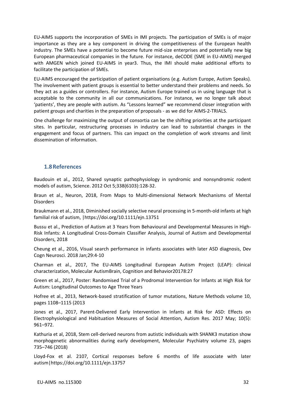EU-AIMS supports the incorporation of SMEs in IMI projects. The participation of SMEs is of major importance as they are a key component in driving the competitiveness of the European health industry. The SMEs have a potential to become future mid-size enterprises and potentially new big European pharmaceutical companies in the future. For instance, deCODE (SME in EU-AIMS) merged with AMGEN which joined EU-AIMS in year3. Thus, the IMI should make additional efforts to facilitate the participation of SMEs.

EU-AIMS encouraged the participation of patient organisations (e.g. Autism Europe, Autism Speaks). The involvement with patient groups is essential to better understand their problems and needs. So they act as a guides or controllers. For instance, Autism Europe trained us in using language that is acceptable to the community in all our communications. For instance, we no longer talk about 'patients', they are people with autism. As "Lessons learned" we recommend closer integration with patient groups and charities in the preparation of proposals - as we did for AIMS-2-TRIALS.

One challenge for maximizing the output of consortia can be the shifting priorities at the participant sites. In particular, restructuring processes in industry can lead to substantial changes in the engagement and focus of partners. This can impact on the completion of work streams and limit dissemination of information.

## **1.8References**

Baudouin et al., 2012, Shared synaptic pathophysiology in syndromic and nonsyndromic rodent models of autism, Science. 2012 Oct 5;338(6103):128-32.

Braun et al., Neuron, 2018, From Maps to Multi-dimensional Network Mechanisms of Mental Disorders

Braukmann et al., 2018, Diminished socially selective neural processing in 5-month-old infants at high familial risk of autism, |https://doi.org/10.1111/ejn.13751

Bussu et al., Prediction of Autism at 3 Years from Behavioural and Developmental Measures in High-Risk Infants: A Longitudinal Cross-Domain Classifier Analysis, Journal of Autism and Developmental Disorders, 2018

Cheung et al., 2016, Visual search performance in infants associates with later ASD diagnosis, Dev Cogn Neurosci. 2018 Jan;29:4-10

Charman et al., 2017, The EU-AIMS Longitudinal European Autism Project (LEAP): clinical characterization, Molecular AutismBrain, Cognition and Behavior20178:27

Green et al., 2017, Poster: Randomised Trial of a Prodromal Intervention for Infants at High Risk for Autism: Longitudinal Outcomes to Age Three Years

Hofree et al., 2013, Network-based stratification of tumor mutations, Nature Methods volume 10, pages 1108–1115 (2013

Jones et al., 2017, Parent-Delivered Early Intervention in Infants at Risk for ASD: Effects on Electrophysiological and Habituation Measures of Social Attention, Autism Res. 2017 May; 10(5): 961–972.

Kathuria et al, 2018, Stem cell-derived neurons from autistic individuals with SHANK3 mutation show morphogenetic abnormalities during early development, Molecular Psychiatry volume 23, pages 735–746 (2018)

Lloyd-Fox et al. 2107, Cortical responses before 6 months of life associate with later autism|https://doi.org/10.1111/ejn.13757